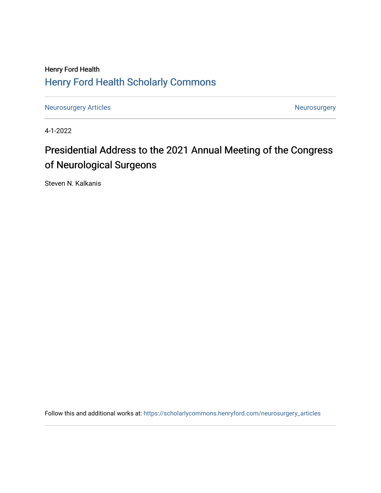# Henry Ford Health [Henry Ford Health Scholarly Commons](https://scholarlycommons.henryford.com/)

[Neurosurgery Articles](https://scholarlycommons.henryford.com/neurosurgery_articles) **Neurosurgery** Neurosurgery

4-1-2022

# Presidential Address to the 2021 Annual Meeting of the Congress of Neurological Surgeons

Steven N. Kalkanis

Follow this and additional works at: [https://scholarlycommons.henryford.com/neurosurgery\\_articles](https://scholarlycommons.henryford.com/neurosurgery_articles?utm_source=scholarlycommons.henryford.com%2Fneurosurgery_articles%2F447&utm_medium=PDF&utm_campaign=PDFCoverPages)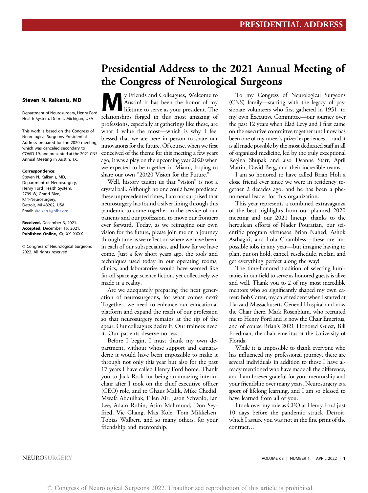### Steven N. Kalkanis, MD

Department of Neurosurgery, Henry Ford Health System, Detroit, Michigan, USA

This work is based on the Congress of Neurological Surgeons Presidential Address prepared for the 2020 meeting, which was canceled secondary to COVID-19, and presented at the 2021 CNS Annual Meeting in Austin, TX.

#### Correspondence:

Steven N. Kalkanis, MD, Department of Neurosurgery, Henry Ford Health System, 2799 W, Grand Blvd, K11-Neurosurgery, Detroit, MI 48202, USA. Email: [skalkan1@hfhs.org](mailto:skalkan1@hfhs.org)

Received, December 3, 2021. Accepted, December 15, 2021. Published Online, XX, XX, XXXX.

© Congress of Neurological Surgeons 2022. All rights reserved.

# Presidential Address to the 2021 Annual Meeting of the Congress of Neurological Surgeons

We Friends and Colleagues, Welcome to Austin! It has been the honor of my lifetime to serve as your president. The relationships forced in this most amonitorial Austin! It has been the honor of my relationships forged in this most amazing of professions, especially at gatherings like these, are what I value the most—which is why I feel blessed that we are here in person to share our innovations for the future. Of course, when we first conceived of the theme for this meeting a few years ago, it was a play on the upcoming year 2020 when we expected to be together in Miami, hoping to share our own "20/20 Vision for the Future."

Well, history taught us that "vision" is not a crystal ball. Although no one could have predicted these unprecedented times, I am not surprised that neurosurgery has found a silver lining through this pandemic to come together in the service of our patients and our profession, to move our frontiers ever forward. Today, as we reimagine our own vision for the future, please join me on a journey through time as we reflect on where we have been, in each of our subspecialties, and how far we have come. Just a few short years ago, the tools and techniques used today in our operating rooms, clinics, and laboratories would have seemed like far-off space age science fiction, yet collectively we made it a reality.

Are we adequately preparing the next generation of neurosurgeons, for what comes next? Together, we need to enhance our educational platform and expand the reach of our profession so that neurosurgery remains at the tip of the spear. Our colleagues desire it. Our trainees need it. Our patients deserve no less.

Before I begin, I must thank my own department, without whose support and camaraderie it would have been impossible to make it through not only this year but also for the past 17 years I have called Henry Ford home. Thank you to Jack Rock for being an amazing interim chair after I took on the chief executive officer (CEO) role, and to Ghaus Malik, Mike Chedid, Mwafa Abdulhak, Ellen Air, Jason Schwalb, Ian Lee, Adam Robin, Asim Mahmood, Don Seyfried, Vic Chang, Max Kole, Tom Mikkelsen, Tobias Walbert, and so many others, for your friendship and mentorship.

To my Congress of Neurological Surgeons (CNS) family—starting with the legacy of passionate volunteers who first gathered in 1951, to my own Executive Committee—our journey over the past 12 years when Elad Levy and I first came on the executive committee together until now has been one of my career's prized experiences… and it is all made possible by the most dedicated staff in all of organized medicine, led by the truly exceptional Regina Shupak and also Deanne Starr, April Martin, David Berg, and their incredible teams.

I am so honored to have called Brian Hoh a close friend ever since we were in residency together 2 decades ago, and he has been a phenomenal leader for this organization.

This year represents a combined extravaganza of the best highlights from our planned 2020 meeting and our 2021 lineup, thanks to the herculean efforts of Nader Pouratian, our scientific program virtuosos Brian Nahed, Ashok Asthagiri, and Lola Chambless—these are impossible jobs in any year—but imagine having to plan, put on hold, cancel, reschedule, replan, and get everything perfect along the way!

The time-honored tradition of selecting luminaries in our field to serve as honored guests is alive and well. Thank you to 2 of my most incredible mentors who so significantly shaped my own career: Bob Carter, my chief resident when I started at Harvard-Massachusetts General Hospital and now the Chair there, Mark Rosenblum, who recruited me to Henry Ford and is now the Chair Emeritus, and of course Brian's 2021 Honored Guest, Bill Friedman, the chair emeritus at the University of Florida.

While it is impossible to thank everyone who has influenced my professional journey, there are several individuals in addition to those I have already mentioned who have made all the difference, and I am forever grateful for your mentorship and your friendship over many years. Neurosurgery is a sport of lifelong learning, and I am so blessed to have learned from all of you.

I took over my role as CEO at Henry Ford just 10 days before the pandemic struck Detroit, which I assure you was not in the fine print of the contract…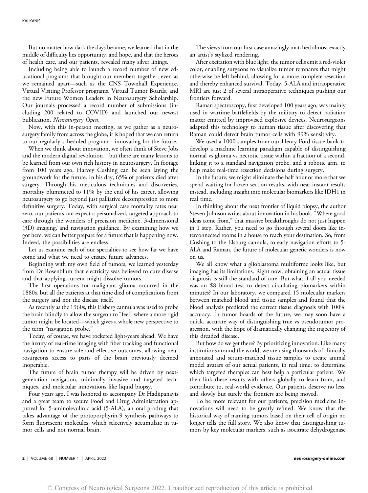But no matter how dark the days became, we learned that in the middle of difficulty lies opportunity, and hope, and that the heroes of health care, and our patients, revealed many silver linings.

Including being able to launch a record number of new educational programs that brought our members together, even as we remained apart—such as the CNS Townhall Experience, Virtual Visiting Professor programs, Virtual Tumor Boards, and the new Future Women Leaders in Neurosurgery Scholarship. Our journals processed a record number of submissions (including 200 related to COVID) and launched our newest publication, Neurosurgery Open.

Now, with this in-person meeting, as we gather as a neurosurgery family from across the globe, it is hoped that we can return to our regularly scheduled program—innovating for the future.

When we think about innovation, we often think of Steve Jobs and the modern digital revolution…but there are many lessons to be learned from our own rich history in neurosurgery. In footage from 100 years ago, Harvey Cushing can be seen laying the groundwork for the future. In his day, 65% of patients died after surgery. Through his meticulous techniques and discoveries, mortality plummeted to 11% by the end of his career, allowing neurosurgery to go beyond just palliative decompression to more definitive surgery. Today, with surgical case mortality rates near zero, our patients can expect a personalized, targeted approach to care through the wonders of precision medicine, 3-dimensional (3D) imaging, and navigation guidance. By examining how we got here, we can better prepare for a future that is happening now. Indeed, the possibilities are endless…

Let us examine each of our specialties to see how far we have come and what we need to ensure future advances.

Beginning with my own field of tumors, we learned yesterday from Dr Rosenblum that electricity was believed to cure disease and that applying current might dissolve tumors.

The first operations for malignant glioma occurred in the 1880s, but all the patients at that time died of complications from the surgery and not the disease itself.

As recently as the 1960s, this Elsberg cannula was used to probe the brain blindly to allow the surgeon to "feel" where a more rigid tumor might be located—which gives a whole new perspective to the term "navigation probe."

Today, of course, we have rocketed light-years ahead. We have the luxury of real-time imaging with fiber tracking and functional navigation to ensure safe and effective outcomes, allowing neurosurgeons access to parts of the brain previously deemed inoperable.

The future of brain tumor therapy will be driven by nextgeneration navigation, minimally invasive and targeted techniques, and molecular innovations like liquid biopsy.

Four years ago, I was honored to accompany Dr Hadjipanayis and a great team to secure Food and Drug Administration approval for 5-aminolevulinic acid (5-ALA), an oral prodrug that takes advantage of the protoporphyrin-9 synthesis pathways to form fluorescent molecules, which selectively accumulate in tumor cells and not normal brain.

The views from our first case amazingly matched almost exactly an artist's stylized rendering.

After excitation with blue light, the tumor cells emit a red-violet color, enabling surgeons to visualize tumor remnants that might otherwise be left behind, allowing for a more complete resection and thereby enhanced survival. Today, 5-ALA and intraoperative MRI are just 2 of several intraoperative techniques pushing our frontiers forward.

Raman spectroscopy, first developed 100 years ago, was mainly used in wartime battlefields by the military to detect radiation matter emitted by improvised explosive devices. Neurosurgeons adapted this technology to human tissue after discovering that Raman could detect brain tumor cells with 99% sensitivity.

We used a 1000 samples from our Henry Ford tissue bank to develop a machine learning paradigm capable of distinguishing normal vs glioma vs necrotic tissue within a fraction of a second, linking it to a standard navigation probe, and a robotic arm, to help make real-time resection decisions during surgery.

In the future, we might eliminate the half hour or more that we spend waiting for frozen section results, with near-instant results instead, including insight into molecular biomarkers like IDH1 in real time.

In thinking about the next frontier of liquid biopsy, the author Steven Johnson writes about innovation in his book, "Where good ideas come from," that massive breakthroughs do not just happen in 1 step. Rather, you need to go through several doors like interconnected rooms in a house to reach your destination. So, from Cushing to the Elsburg cannula, to early navigation efforts to 5- ALA and Raman, the future of molecular genetic wonders is now on us.

We all know what a glioblastoma multiforme looks like, but imaging has its limitations. Right now, obtaining an actual tissue diagnosis is still the standard of care. But what if all you needed was an \$8 blood test to detect circulating biomarkers within minutes? In our laboratory, we compared 15 molecular markers between matched blood and tissue samples and found that the blood analysis predicted the correct tissue diagnosis with 100% accuracy. In tumor boards of the future, we may soon have a quick, accurate way of distinguishing true vs pseudotumor progression, with the hope of dramatically changing the trajectory of this dreaded disease.

But how do we get there? By prioritizing innovation. Like many institutions around the world, we are using thousands of clinically annotated and serum-matched tissue samples to create animal model avatars of our actual patients, in real time, to determine which targeted therapies can best help a particular patient. We then link these results with others globally to learn from, and contribute to, real-world evidence. Our patients deserve no less, and slowly but surely the frontiers are being moved.

To be more relevant for our patients, precision medicine innovations will need to be greatly refined. We know that the historical way of naming tumors based on their cell of origin no longer tells the full story. We also know that distinguishing tumors by key molecular markers, such as isocitrate dehydrogenase

2 | VOLUME 68 | NUMBER 1 | APRIL 2022 neurosurgery-online.com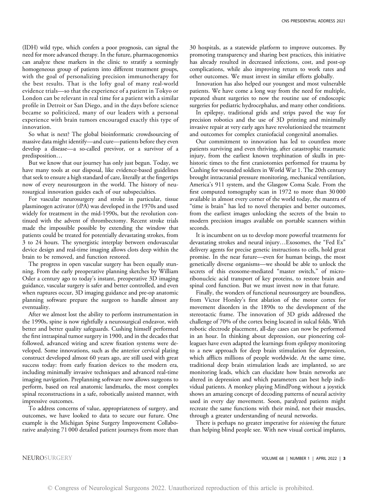(IDH) wild type, which confers a poor prognosis, can signal the need for more advanced therapy. In the future, pharmacogenomics can analyze these markers in the clinic to stratify a seemingly homogeneous group of patients into different treatment groups, with the goal of personalizing precision immunotherapy for the best results. That is the lofty goal of many real-world evidence trials—so that the experience of a patient in Tokyo or London can be relevant in real time for a patient with a similar profile in Detroit or San Diego, and in the days before science became so politicized, many of our leaders with a personal experience with brain tumors encouraged exactly this type of innovation.

So what is next? The global bioinformatic crowdsourcing of massive data might identify—and cure—patients before they even develop a disease—a so-called previvor, or a survivor of a predisposition…

But we know that our journey has only just begun. Today, we have many tools at our disposal, like evidence-based guidelines that seek to ensure a high standard of care, literally at the fingertips now of every neurosurgeon in the world. The history of neurosurgical innovation guides each of our subspecialties.

For vascular neurosurgery and stroke in particular, tissue plasminogen activator (tPA) was developed in the 1970s and used widely for treatment in the mid-1990s, but the revolution continued with the advent of thrombectomy. Recent stroke trials made the impossible possible by extending the window that patients could be treated for potentially devastating strokes, from 3 to 24 hours. The synergistic interplay between endovascular device design and real-time imaging allows clots deep within the brain to be removed, and function restored.

The progress in open vascular surgery has been equally stunning. From the early preoperative planning sketches by William Osler a century ago to today's instant, preoperative 3D imaging guidance, vascular surgery is safer and better controlled, and even when ruptures occur, 3D imaging guidance and pre-op anatomic planning software prepare the surgeon to handle almost any eventuality.

After we almost lost the ability to perform instrumentation in the 1990s, spine is now rightfully a neurosurgical endeavor, with better and better quality safeguards. Cushing himself performed the first intraspinal tumor surgery in 1900, and in the decades that followed, advanced wiring and screw fixation systems were developed. Some innovations, such as the anterior cervical plating construct developed almost 60 years ago, are still used with great success today: from early fixation devices to the modern era, including minimally invasive techniques and advanced real-time imaging navigation. Preplanning software now allows surgeons to perform, based on real anatomic landmarks, the most complex spinal reconstructions in a safe, robotically assisted manner, with impressive outcomes.

To address concerns of value, appropriateness of surgery, and outcomes, we have looked to data to secure our future. One example is the Michigan Spine Surgery Improvement Collaborative analyzing 71 000 detailed patient journeys from more than

30 hospitals, as a statewide platform to improve outcomes. By promoting transparency and sharing best practices, this initiative has already resulted in decreased infections, cost, and post-op complications, while also improving return to work rates and other outcomes. We must invest in similar efforts globally.

Innovation has also helped our youngest and most vulnerable patients. We have come a long way from the need for multiple, repeated shunt surgeries to now the routine use of endoscopic surgeries for pediatric hydrocephalus, and many other conditions.

In epilepsy, traditional grids and strips paved the way for precision robotics and the use of 3D printing and minimally invasive repair at very early ages have revolutionized the treatment and outcomes for complex craniofacial congenital anomalies.

Our commitment to innovation has led to countless more patients surviving and even thriving, after catastrophic traumatic injury, from the earliest known trephination of skulls in prehistoric times to the first craniotomies performed for trauma by Cushing for wounded soldiers in World War 1. The 20th century brought intracranial pressure monitoring, mechanical ventilation, America's 911 system, and the Glasgow Coma Scale. From the first computed tomography scan in 1972 to more than 30 000 available in almost every corner of the world today, the mantra of "time is brain" has led to novel therapies and better outcomes, from the earliest images unlocking the secrets of the brain to modern precision images available on portable scanners within seconds.

It is incumbent on us to develop more powerful treatments for devastating strokes and neural injury…Exosomes, the "Fed Ex" delivery agents for precise genetic instructions to cells, hold great promise. In the near future—even for human beings, the most genetically diverse organisms—we should be able to unlock the secrets of this exosome-mediated "master switch," of microribonucleic acid transport of key proteins, to restore brain and spinal cord function. But we must invest now in that future.

Finally, the wonders of functional neurosurgery are boundless, from Victor Horsley's first ablation of the motor cortex for movement disorders in the 1890s to the development of the stereotactic frame. The innovation of 3D grids addressed the challenge of 70% of the cortex being located in sulcal folds. With robotic electrode placement, all-day cases can now be performed in an hour. In thinking about depression, our pioneering colleagues have even adapted the learnings from epilepsy monitoring to a new approach for deep brain stimulation for depression, which afflicts millions of people worldwide. At the same time, traditional deep brain stimulation leads are implanted, so are monitoring leads, which can elucidate how brain networks are altered in depression and which parameters can best help individual patients. A monkey playing MindPong without a joystick shows an amazing concept of decoding patterns of neural activity used in every day movement. Soon, paralyzed patients might recreate the same functions with their mind, not their muscles, through a greater understanding of neural networks.

There is perhaps no greater imperative for *visioning* the future than helping blind people see. With new visual cortical implants,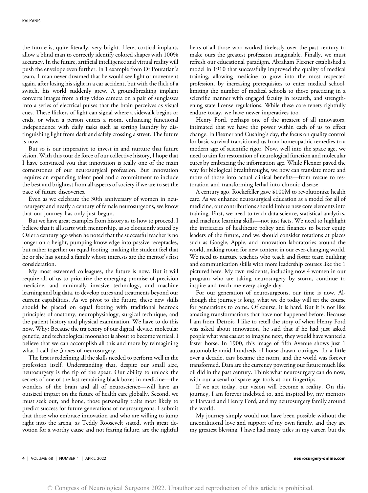the future is, quite literally, very bright. Here, cortical implants allow a blind man to correctly identify colored shapes with 100% accuracy. In the future, artificial intelligence and virtual reality will push the envelope even further. In 1 example from Dr Pouratian's team, 1 man never dreamed that he would see light or movement again, after losing his sight in a car accident, but with the flick of a switch, his world suddenly grew. A groundbreaking implant converts images from a tiny video camera on a pair of sunglasses into a series of electrical pulses that the brain perceives as visual cues. These flickers of light can signal where a sidewalk begins or ends, or when a person enters a room, enhancing functional independence with daily tasks such as sorting laundry by distinguishing light from dark and safely crossing a street. The future is now.

But so is our imperative to invest in and nurture that future vision. With this tour de force of our collective history, I hope that I have convinced you that innovation is really one of the main cornerstones of our neurosurgical profession. But innovation requires an expanding talent pool and a commitment to include the best and brightest from all aspects of society if we are to set the pace of future discoveries.

Even as we celebrate the 30th anniversary of women in neurosurgery and nearly a century of female neurosurgeons, we know that our journey has only just begun.

But we have great examples from history as to how to proceed. I believe that it all starts with mentorship, as so eloquently stated by Osler a century ago when he noted that the successful teacher is no longer on a height, pumping knowledge into passive receptacles, but rather together on equal footing, making the student feel that he or she has joined a family whose interests are the mentor's first consideration.

My most esteemed colleagues, the future is now. But it will require all of us to prioritize the emerging promise of precision medicine, and minimally invasive technology, and machine learning and big data, to develop cures and treatments beyond our current capabilities. As we pivot to the future, these new skills should be placed on equal footing with traditional bedrock principles of anatomy, neurophysiology, surgical technique, and the patient history and physical examination. We have to do this now. Why? Because the trajectory of our digital, device, molecular genetic, and technological moonshot is about to become vertical. I believe that we can accomplish all this and more by reimagining what I call the 3 axes of neurosurgery.

The first is redefining all the skills needed to perform well in the profession itself. Understanding that, despite our small size, neurosurgery is the tip of the spear. Our ability to unlock the secrets of one of the last remaining black boxes in medicine—the wonders of the brain and all of neuroscience—will have an outsized impact on the future of health care globally. Second, we must seek out, and hone, those personality traits most likely to predict success for future generations of neurosurgeons. I submit that those who embrace innovation and who are willing to jump right into the arena, as Teddy Roosevelt stated, with great devotion for a worthy cause and not fearing failure, are the rightful heirs of all those who worked tirelessly over the past century to make ours the greatest profession imaginable. Finally, we must refresh our educational paradigm. Abraham Flexner established a model in 1910 that successfully improved the quality of medical training, allowing medicine to grow into the most respected profession, by increasing prerequisites to enter medical school, limiting the number of medical schools to those practicing in a scientific manner with engaged faculty in research, and strengthening state license regulations. While these core tenets rightfully endure today, we have newer imperatives too.

Henry Ford, perhaps one of the greatest of all innovators, intimated that we have the power within each of us to effect change. In Flexner and Cushing's day, the focus on quality control for basic survival transitioned us from homeopathic remedies to a modern age of scientific rigor. Now, well into the space age, we need to aim for restoration of neurological function and molecular cures by embracing the information age. While Flexner paved the way for biological breakthroughs, we now can translate more and more of those into actual clinical benefits—from rescue to restoration and transforming lethal into chronic disease.

A century ago, Rockefeller gave \$100M to revolutionize health care. As we enhance neurosurgical education as a model for all of medicine, our contributions should imbue new core elements into training. First, we need to teach data science, statistical analytics, and machine learning skills—not just facts. We need to highlight the intricacies of healthcare policy and finances to better equip leaders of the future, and we should consider rotations at places such as Google, Apple, and innovation laboratories around the world, making room for new content in our ever-changing world. We need to nurture teachers who teach and foster team building and communication skills with more leadership courses like the 1 pictured here. My own residents, including now 4 women in our program who are taking neurosurgery by storm, continue to inspire and teach me every single day.

For our generation of neurosurgeons, our time is now. Although the journey is long, what we do today will set the course for generations to come. Of course, it is hard. But it is not like amazing transformations that have not happened before. Because I am from Detroit, I like to retell the story of when Henry Ford was asked about innovation, he said that if he had just asked people what was easiest to imagine next, they would have wanted a faster horse. In 1900, this image of fifth Avenue shows just 1 automobile amid hundreds of horse-drawn carriages. In a little over a decade, cars became the norm, and the world was forever transformed. Data are the currency powering our future much like oil did in the past century. Think what neurosurgery can do now, with our arsenal of space age tools at our fingertips.

If we act today, our vision will become a reality. On this journey, I am forever indebted to, and inspired by, my mentors at Harvard and Henry Ford, and my neurosurgery family around the world.

My journey simply would not have been possible without the unconditional love and support of my own family, and they are my greatest blessing. I have had many titles in my career, but the